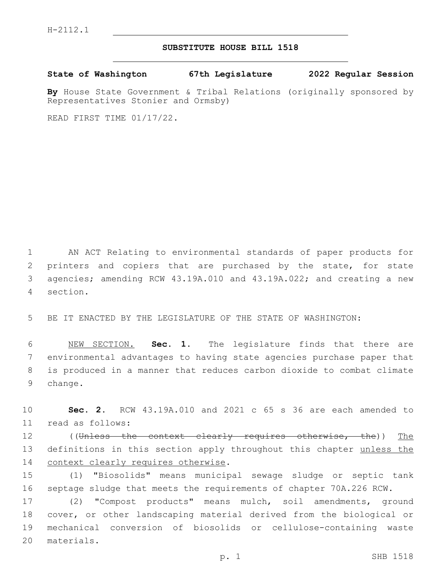## **SUBSTITUTE HOUSE BILL 1518**

**State of Washington 67th Legislature 2022 Regular Session**

**By** House State Government & Tribal Relations (originally sponsored by Representatives Stonier and Ormsby)

READ FIRST TIME 01/17/22.

 AN ACT Relating to environmental standards of paper products for printers and copiers that are purchased by the state, for state agencies; amending RCW 43.19A.010 and 43.19A.022; and creating a new section.4

5 BE IT ENACTED BY THE LEGISLATURE OF THE STATE OF WASHINGTON:

 NEW SECTION. **Sec. 1.** The legislature finds that there are environmental advantages to having state agencies purchase paper that is produced in a manner that reduces carbon dioxide to combat climate 9 change.

10 **Sec. 2.** RCW 43.19A.010 and 2021 c 65 s 36 are each amended to read as follows:11

12 ((Unless the context clearly requires otherwise, the)) The 13 definitions in this section apply throughout this chapter unless the 14 context clearly requires otherwise.

15 (1) "Biosolids" means municipal sewage sludge or septic tank 16 septage sludge that meets the requirements of chapter 70A.226 RCW.

 (2) "Compost products" means mulch, soil amendments, ground cover, or other landscaping material derived from the biological or mechanical conversion of biosolids or cellulose-containing waste 20 materials.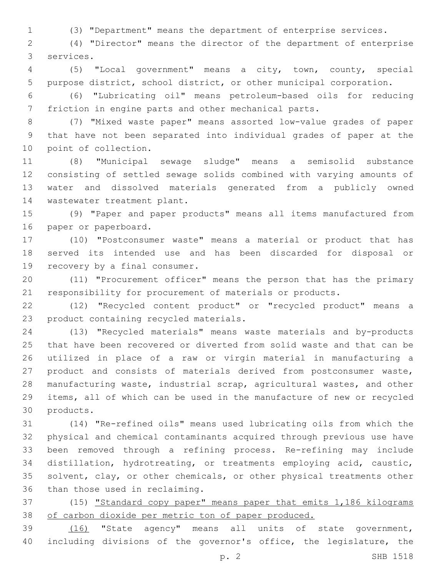(3) "Department" means the department of enterprise services.

 (4) "Director" means the director of the department of enterprise services.3

 (5) "Local government" means a city, town, county, special purpose district, school district, or other municipal corporation.

 (6) "Lubricating oil" means petroleum-based oils for reducing friction in engine parts and other mechanical parts.

 (7) "Mixed waste paper" means assorted low-value grades of paper that have not been separated into individual grades of paper at the 10 point of collection.

 (8) "Municipal sewage sludge" means a semisolid substance consisting of settled sewage solids combined with varying amounts of water and dissolved materials generated from a publicly owned 14 wastewater treatment plant.

 (9) "Paper and paper products" means all items manufactured from 16 paper or paperboard.

 (10) "Postconsumer waste" means a material or product that has served its intended use and has been discarded for disposal or 19 recovery by a final consumer.

 (11) "Procurement officer" means the person that has the primary responsibility for procurement of materials or products.

 (12) "Recycled content product" or "recycled product" means a 23 product containing recycled materials.

 (13) "Recycled materials" means waste materials and by-products that have been recovered or diverted from solid waste and that can be utilized in place of a raw or virgin material in manufacturing a product and consists of materials derived from postconsumer waste, manufacturing waste, industrial scrap, agricultural wastes, and other items, all of which can be used in the manufacture of new or recycled 30 products.

 (14) "Re-refined oils" means used lubricating oils from which the physical and chemical contaminants acquired through previous use have been removed through a refining process. Re-refining may include distillation, hydrotreating, or treatments employing acid, caustic, solvent, clay, or other chemicals, or other physical treatments other 36 than those used in reclaiming.

37 (15) "Standard copy paper" means paper that emits 1,186 kilograms of carbon dioxide per metric ton of paper produced.

 (16) "State agency" means all units of state government, including divisions of the governor's office, the legislature, the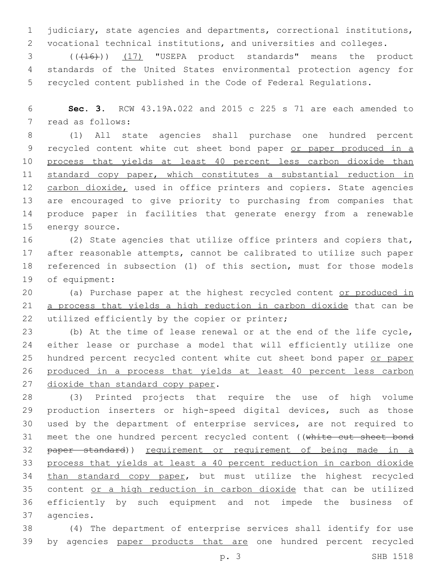1 judiciary, state agencies and departments, correctional institutions, 2 vocational technical institutions, and universities and colleges.

3 (( $(16)$ )) (17) "USEPA product standards" means the product 4 standards of the United States environmental protection agency for 5 recycled content published in the Code of Federal Regulations.

6 **Sec. 3.** RCW 43.19A.022 and 2015 c 225 s 71 are each amended to 7 read as follows:

8 (1) All state agencies shall purchase one hundred percent 9 recycled content white cut sheet bond paper or paper produced in a 10 process that yields at least 40 percent less carbon dioxide than 11 standard copy paper, which constitutes a substantial reduction in 12 carbon dioxide, used in office printers and copiers. State agencies 13 are encouraged to give priority to purchasing from companies that 14 produce paper in facilities that generate energy from a renewable 15 energy source.

 (2) State agencies that utilize office printers and copiers that, after reasonable attempts, cannot be calibrated to utilize such paper referenced in subsection (1) of this section, must for those models 19 of equipment:

20 (a) Purchase paper at the highest recycled content or produced in 21 a process that yields a high reduction in carbon dioxide that can be 22 utilized efficiently by the copier or printer;

23 (b) At the time of lease renewal or at the end of the life cycle, 24 either lease or purchase a model that will efficiently utilize one 25 hundred percent recycled content white cut sheet bond paper or paper 26 produced in a process that yields at least 40 percent less carbon 27 dioxide than standard copy paper.

28 (3) Printed projects that require the use of high volume 29 production inserters or high-speed digital devices, such as those 30 used by the department of enterprise services, are not required to 31 meet the one hundred percent recycled content ((white cut sheet bond 32 paper standard)) requirement or requirement of being made in a 33 process that yields at least a 40 percent reduction in carbon dioxide 34 than standard copy paper, but must utilize the highest recycled 35 content or a high reduction in carbon dioxide that can be utilized 36 efficiently by such equipment and not impede the business of 37 agencies.

38 (4) The department of enterprise services shall identify for use 39 by agencies paper products that are one hundred percent recycled